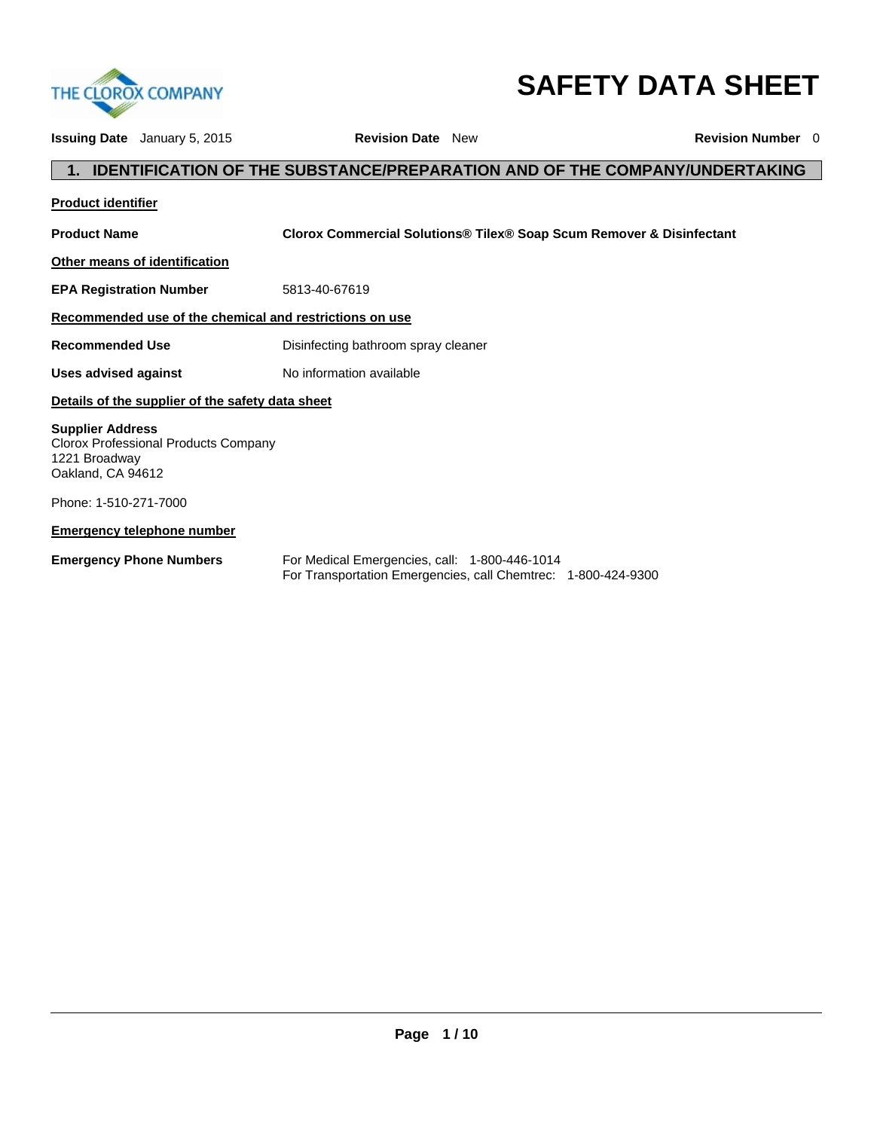

# **SAFETY DATA SHEET**

| <b>Issuing Date</b> January 5, 2015                                                                   | <b>Revision Date</b> New                      |                                                                                   | <b>Revision Number</b> 0 |
|-------------------------------------------------------------------------------------------------------|-----------------------------------------------|-----------------------------------------------------------------------------------|--------------------------|
|                                                                                                       |                                               | <b>IDENTIFICATION OF THE SUBSTANCE/PREPARATION AND OF THE COMPANY/UNDERTAKING</b> |                          |
| <b>Product identifier</b>                                                                             |                                               |                                                                                   |                          |
| <b>Product Name</b>                                                                                   |                                               | Clorox Commercial Solutions® Tilex® Soap Scum Remover & Disinfectant              |                          |
| Other means of identification                                                                         |                                               |                                                                                   |                          |
| <b>EPA Registration Number</b>                                                                        | 5813-40-67619                                 |                                                                                   |                          |
| Recommended use of the chemical and restrictions on use                                               |                                               |                                                                                   |                          |
| <b>Recommended Use</b>                                                                                | Disinfecting bathroom spray cleaner           |                                                                                   |                          |
| Uses advised against                                                                                  | No information available                      |                                                                                   |                          |
| Details of the supplier of the safety data sheet                                                      |                                               |                                                                                   |                          |
| <b>Supplier Address</b><br>Clorox Professional Products Company<br>1221 Broadway<br>Oakland, CA 94612 |                                               |                                                                                   |                          |
| Phone: 1-510-271-7000                                                                                 |                                               |                                                                                   |                          |
| <b>Emergency telephone number</b>                                                                     |                                               |                                                                                   |                          |
| <b>Emergency Phone Numbers</b>                                                                        | For Medical Emergencies, call: 1-800-446-1014 | For Transportation Emergencies, call Chemtrec: 1-800-424-9300                     |                          |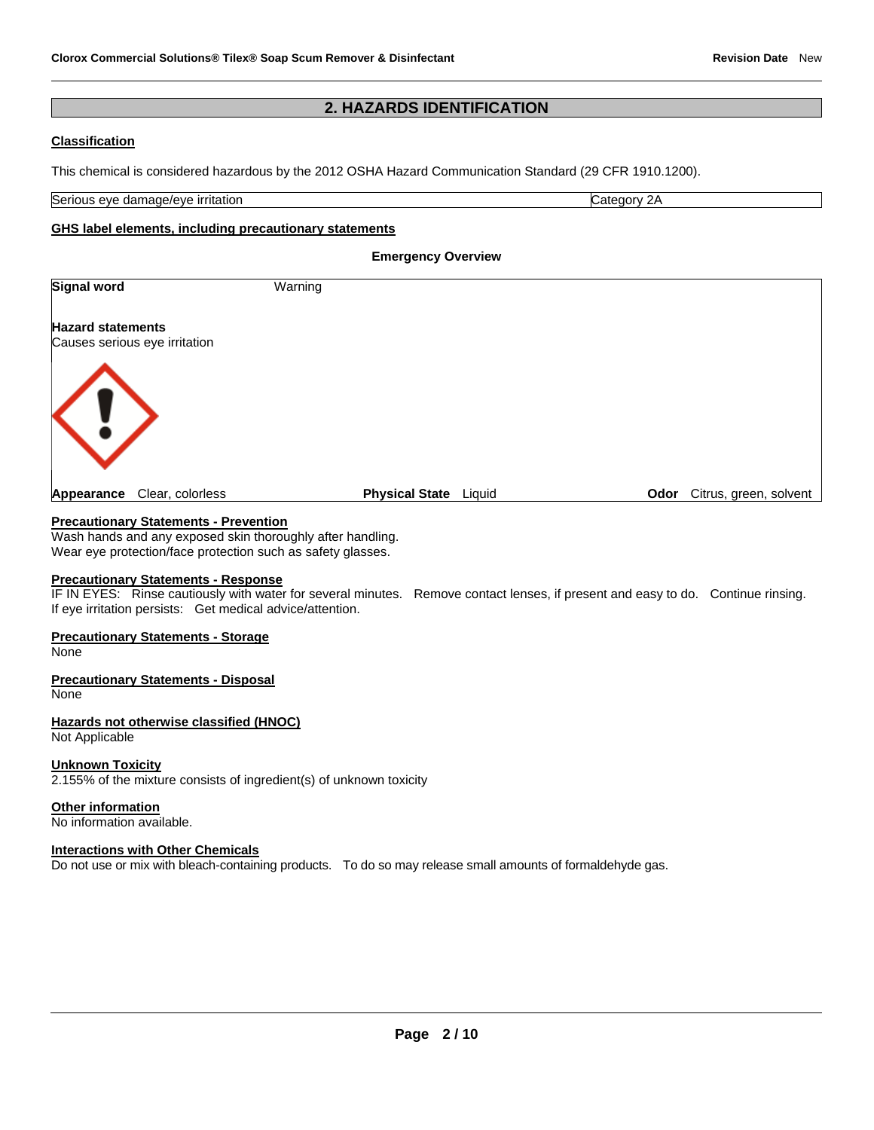# **2. HAZARDS IDENTIFICATION**

# **Classification**

This chemical is considered hazardous by the 2012 OSHA Hazard Communication Standard (29 CFR 1910.1200).

Serious eye damage/eye irritation **Category 2A** extends the Category 2A

#### **GHS label elements, including precautionary statements**

**Emergency Overview** 

| <b>Signal word</b>                                        | Warning                      |                             |
|-----------------------------------------------------------|------------------------------|-----------------------------|
| <b>Hazard statements</b><br>Causes serious eye irritation |                              |                             |
| $\langle \cdot \rangle$                                   |                              |                             |
| Clear, colorless<br>Appearance                            | <b>Physical State</b> Liquid | Odor Citrus, green, solvent |

## **Precautionary Statements - Prevention**

Wash hands and any exposed skin thoroughly after handling. Wear eye protection/face protection such as safety glasses.

#### **Precautionary Statements - Response**

IF IN EYES: Rinse cautiously with water for several minutes. Remove contact lenses, if present and easy to do. Continue rinsing. If eye irritation persists: Get medical advice/attention.

#### **Precautionary Statements - Storage**

None

### **Precautionary Statements - Disposal**

None

#### **Hazards not otherwise classified (HNOC)**

Not Applicable

## **Unknown Toxicity**

2.155% of the mixture consists of ingredient(s) of unknown toxicity

#### **Other information**

No information available.

#### **Interactions with Other Chemicals**

Do not use or mix with bleach-containing products. To do so may release small amounts of formaldehyde gas.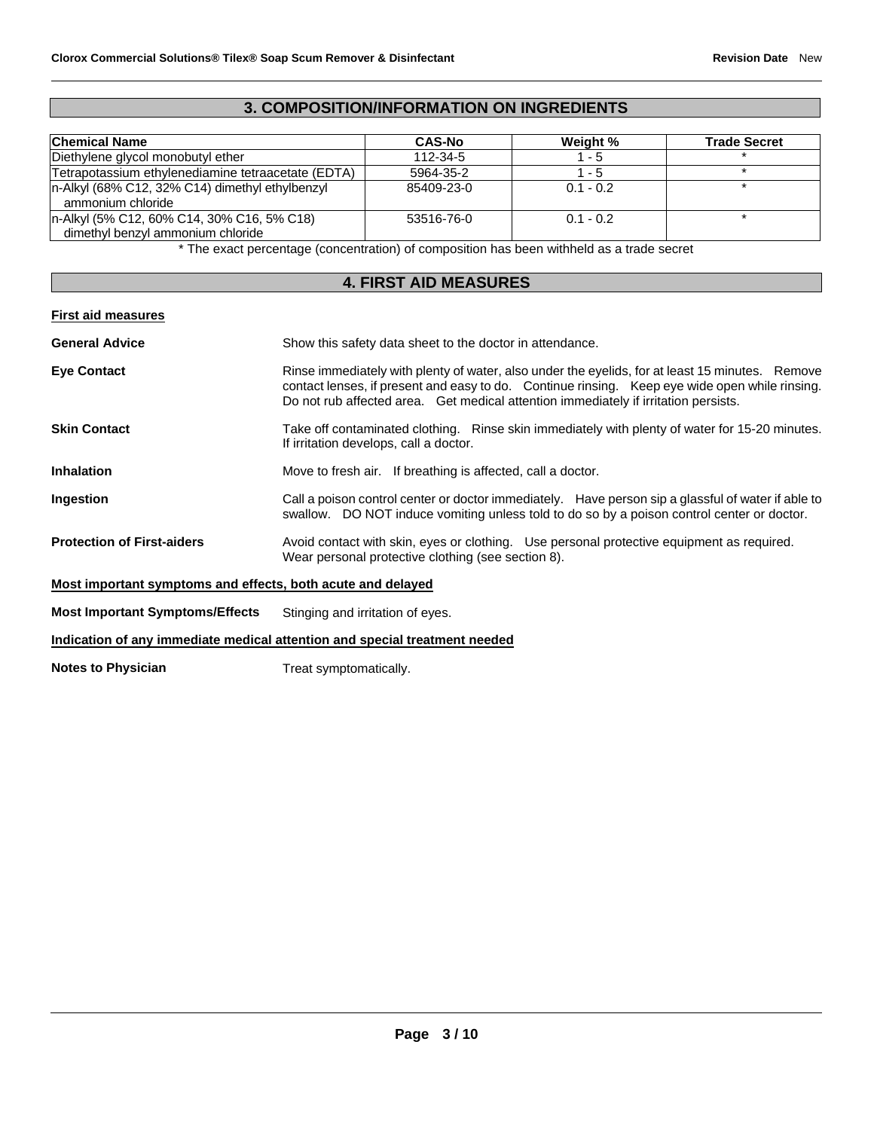# **3. COMPOSITION/INFORMATION ON INGREDIENTS**

| <b>Chemical Name</b>                                                            | <b>CAS-No</b>  | Weight %    | <b>Trade Secret</b> |
|---------------------------------------------------------------------------------|----------------|-------------|---------------------|
| Diethylene glycol monobutyl ether                                               | $112 - 34 - 5$ | $1 - 5$     |                     |
| Tetrapotassium ethylenediamine tetraacetate (EDTA)                              | 5964-35-2      | $1 - 5$     |                     |
| n-Alkyl (68% C12, 32% C14) dimethyl ethylbenzyl<br>ammonium chloride            | 85409-23-0     | $0.1 - 0.2$ |                     |
| n-Alkyl (5% C12, 60% C14, 30% C16, 5% C18)<br>dimethyl benzyl ammonium chloride | 53516-76-0     | $0.1 - 0.2$ |                     |

\* The exact percentage (concentration) of composition has been withheld as a trade secret

# **4. FIRST AID MEASURES**

## **First aid measures**

| <b>General Advice</b>                                                      | Show this safety data sheet to the doctor in attendance.                                                                                                                                                                                                                                 |  |  |
|----------------------------------------------------------------------------|------------------------------------------------------------------------------------------------------------------------------------------------------------------------------------------------------------------------------------------------------------------------------------------|--|--|
| <b>Eye Contact</b>                                                         | Rinse immediately with plenty of water, also under the eyelids, for at least 15 minutes. Remove<br>contact lenses, if present and easy to do. Continue rinsing. Keep eye wide open while rinsing.<br>Do not rub affected area. Get medical attention immediately if irritation persists. |  |  |
| <b>Skin Contact</b>                                                        | Take off contaminated clothing. Rinse skin immediately with plenty of water for 15-20 minutes.<br>If irritation develops, call a doctor.                                                                                                                                                 |  |  |
| <b>Inhalation</b>                                                          | Move to fresh air. If breathing is affected, call a doctor.                                                                                                                                                                                                                              |  |  |
| Ingestion                                                                  | Call a poison control center or doctor immediately. Have person sip a glassful of water if able to<br>swallow. DO NOT induce vomiting unless told to do so by a poison control center or doctor.                                                                                         |  |  |
| <b>Protection of First-aiders</b>                                          | Avoid contact with skin, eyes or clothing. Use personal protective equipment as required.<br>Wear personal protective clothing (see section 8).                                                                                                                                          |  |  |
| Most important symptoms and effects, both acute and delayed                |                                                                                                                                                                                                                                                                                          |  |  |
| <b>Most Important Symptoms/Effects</b>                                     | Stinging and irritation of eyes.                                                                                                                                                                                                                                                         |  |  |
| Indication of any immediate medical attention and special treatment needed |                                                                                                                                                                                                                                                                                          |  |  |

**Notes to Physician** Treat symptomatically.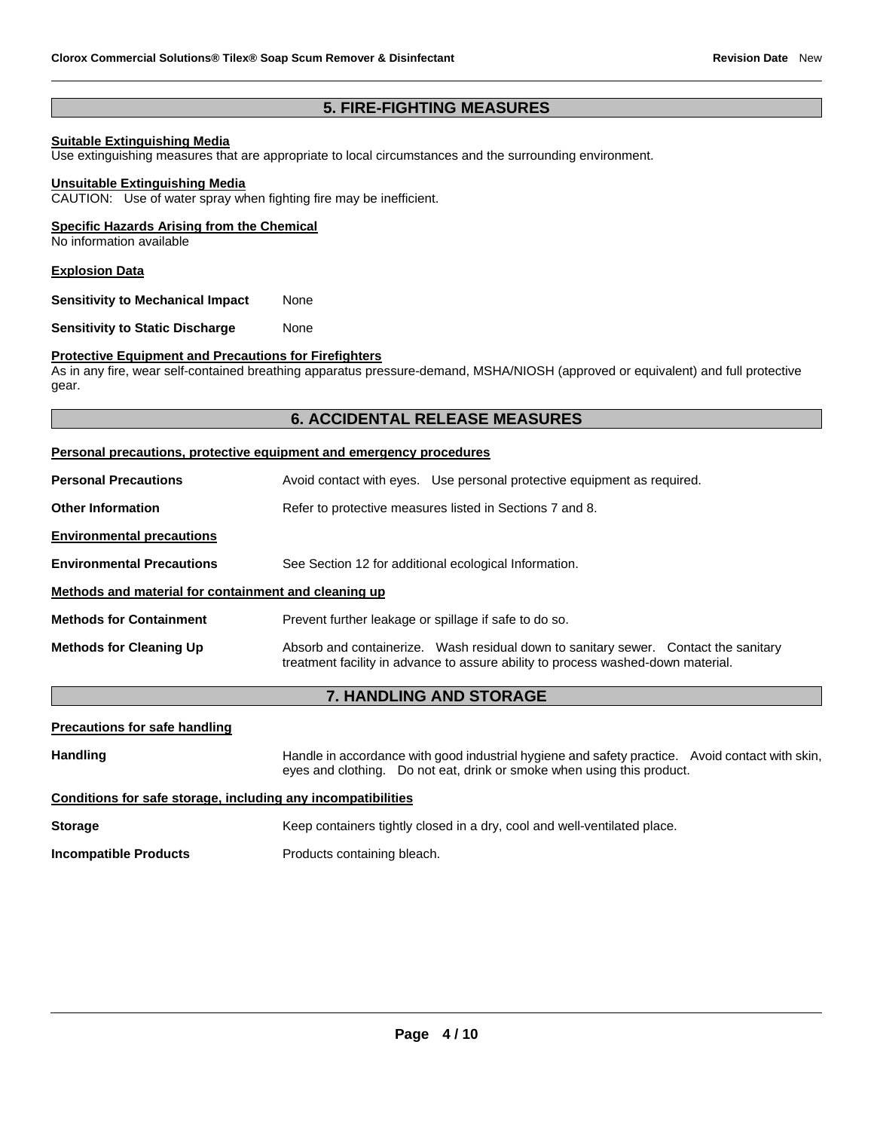# **5. FIRE-FIGHTING MEASURES**

## **Suitable Extinguishing Media**

Use extinguishing measures that are appropriate to local circumstances and the surrounding environment.

#### **Unsuitable Extinguishing Media**

CAUTION: Use of water spray when fighting fire may be inefficient.

#### **Specific Hazards Arising from the Chemical**

No information available

#### **Explosion Data**

**Sensitivity to Mechanical Impact** None

**Sensitivity to Static Discharge Mone** 

#### **Protective Equipment and Precautions for Firefighters**

As in any fire, wear self-contained breathing apparatus pressure-demand, MSHA/NIOSH (approved or equivalent) and full protective gear.

# **6. ACCIDENTAL RELEASE MEASURES**

| Personal precautions, protective equipment and emergency procedures |                                                                                                                                                                         |  |  |  |
|---------------------------------------------------------------------|-------------------------------------------------------------------------------------------------------------------------------------------------------------------------|--|--|--|
| <b>Personal Precautions</b>                                         | Avoid contact with eyes. Use personal protective equipment as required.                                                                                                 |  |  |  |
| <b>Other Information</b>                                            | Refer to protective measures listed in Sections 7 and 8.                                                                                                                |  |  |  |
| <b>Environmental precautions</b>                                    |                                                                                                                                                                         |  |  |  |
| <b>Environmental Precautions</b>                                    | See Section 12 for additional ecological Information.                                                                                                                   |  |  |  |
| Methods and material for containment and cleaning up                |                                                                                                                                                                         |  |  |  |
| <b>Methods for Containment</b>                                      | Prevent further leakage or spillage if safe to do so.                                                                                                                   |  |  |  |
| <b>Methods for Cleaning Up</b>                                      | Absorb and containerize. Wash residual down to sanitary sewer. Contact the sanitary<br>treatment facility in advance to assure ability to process washed-down material. |  |  |  |

#### **7. HANDLING AND STORAGE**

| <b>Precautions for safe handling</b> |  |  |
|--------------------------------------|--|--|
|                                      |  |  |

Handling **Handle in accordance with good industrial hygiene and safety practice. Avoid contact with skin,** eyes and clothing. Do not eat, drink or smoke when using this product.

## **Conditions for safe storage, including any incompatibilities**

**Storage Keep containers tightly closed in a dry, cool and well-ventilated place. Incompatible Products Products** Products containing bleach.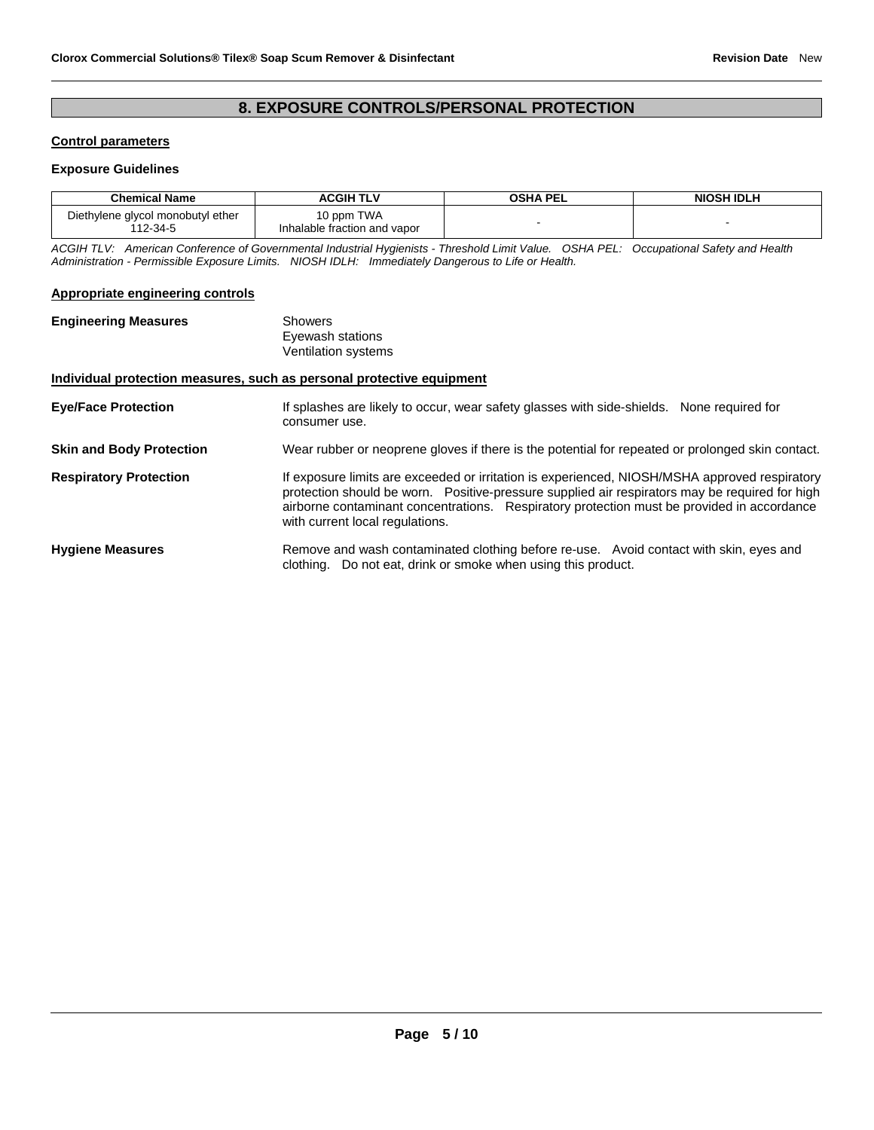# **8. EXPOSURE CONTROLS/PERSONAL PROTECTION**

# **Control parameters**

#### **Exposure Guidelines**

| <b>Chemical Name</b>                          | <b>ACGIH TLV</b>                           | OSHA PEL | <b>NIOSH IDLH</b> |
|-----------------------------------------------|--------------------------------------------|----------|-------------------|
| Diethylene glycol monobutyl ether<br>112-34-5 | 10 ppm TWA<br>Inhalable fraction and vapor |          |                   |

*ACGIH TLV: American Conference of Governmental Industrial Hygienists - Threshold Limit Value. OSHA PEL: Occupational Safety and Health Administration - Permissible Exposure Limits. NIOSH IDLH: Immediately Dangerous to Life or Health.* 

#### **Appropriate engineering controls**

| Showers             |
|---------------------|
| Eyewash stations    |
| Ventilation systems |
|                     |

#### **Individual protection measures, such as personal protective equipment**

| <b>Eye/Face Protection</b>      | If splashes are likely to occur, wear safety glasses with side-shields. None required for<br>consumer use.                                                                                                                                                                                                                       |
|---------------------------------|----------------------------------------------------------------------------------------------------------------------------------------------------------------------------------------------------------------------------------------------------------------------------------------------------------------------------------|
| <b>Skin and Body Protection</b> | Wear rubber or neoprene gloves if there is the potential for repeated or prolonged skin contact.                                                                                                                                                                                                                                 |
| <b>Respiratory Protection</b>   | If exposure limits are exceeded or irritation is experienced, NIOSH/MSHA approved respiratory<br>protection should be worn. Positive-pressure supplied air respirators may be required for high<br>airborne contaminant concentrations. Respiratory protection must be provided in accordance<br>with current local regulations. |
| <b>Hygiene Measures</b>         | Remove and wash contaminated clothing before re-use. Avoid contact with skin, eyes and<br>clothing. Do not eat, drink or smoke when using this product.                                                                                                                                                                          |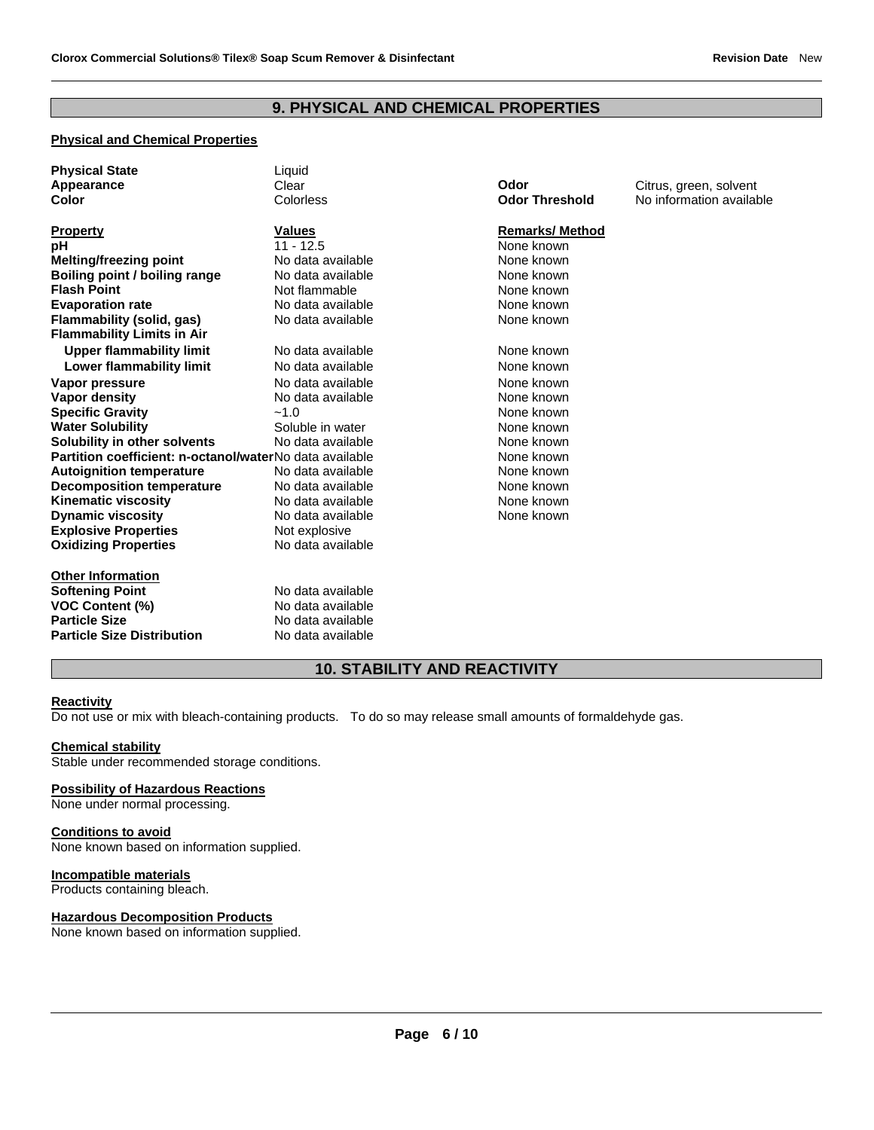# **9. PHYSICAL AND CHEMICAL PROPERTIES**

# **Physical and Chemical Properties**

| <b>Physical State</b>                                   | Liquid            |                       |                          |
|---------------------------------------------------------|-------------------|-----------------------|--------------------------|
| Appearance                                              | Clear             | Odor                  | Citrus, green, solvent   |
| Color                                                   | Colorless         | <b>Odor Threshold</b> | No information available |
|                                                         |                   |                       |                          |
| <b>Property</b>                                         | <b>Values</b>     | <b>Remarks/Method</b> |                          |
| pH                                                      | $11 - 12.5$       | None known            |                          |
| Melting/freezing point                                  | No data available | None known            |                          |
| Boiling point / boiling range                           | No data available | None known            |                          |
| <b>Flash Point</b>                                      | Not flammable     | None known            |                          |
| <b>Evaporation rate</b>                                 | No data available | None known            |                          |
| Flammability (solid, gas)                               | No data available | None known            |                          |
| <b>Flammability Limits in Air</b>                       |                   |                       |                          |
| <b>Upper flammability limit</b>                         | No data available | None known            |                          |
| <b>Lower flammability limit</b>                         | No data available | None known            |                          |
| Vapor pressure                                          | No data available | None known            |                          |
| Vapor density                                           | No data available | None known            |                          |
| <b>Specific Gravity</b>                                 | $-1.0$            | None known            |                          |
| <b>Water Solubility</b>                                 | Soluble in water  | None known            |                          |
| Solubility in other solvents                            | No data available | None known            |                          |
| Partition coefficient: n-octanol/waterNo data available |                   | None known            |                          |
| <b>Autoignition temperature</b>                         | No data available | None known            |                          |
| <b>Decomposition temperature</b>                        | No data available | None known            |                          |
| <b>Kinematic viscosity</b>                              | No data available | None known            |                          |
| <b>Dynamic viscosity</b>                                | No data available | None known            |                          |
| <b>Explosive Properties</b>                             | Not explosive     |                       |                          |
| <b>Oxidizing Properties</b>                             | No data available |                       |                          |
| <b>Other Information</b>                                |                   |                       |                          |
|                                                         | No data available |                       |                          |
| <b>Softening Point</b><br><b>VOC Content (%)</b>        | No data available |                       |                          |
| <b>Particle Size</b>                                    | No data available |                       |                          |
|                                                         |                   |                       |                          |
| <b>Particle Size Distribution</b>                       | No data available |                       |                          |

# **10. STABILITY AND REACTIVITY**

## **Reactivity**

Do not use or mix with bleach-containing products. To do so may release small amounts of formaldehyde gas.

#### **Chemical stability**

Stable under recommended storage conditions.

#### **Possibility of Hazardous Reactions**

None under normal processing.

#### **Conditions to avoid**

None known based on information supplied.

## **Incompatible materials**

Products containing bleach.

#### **Hazardous Decomposition Products**

None known based on information supplied.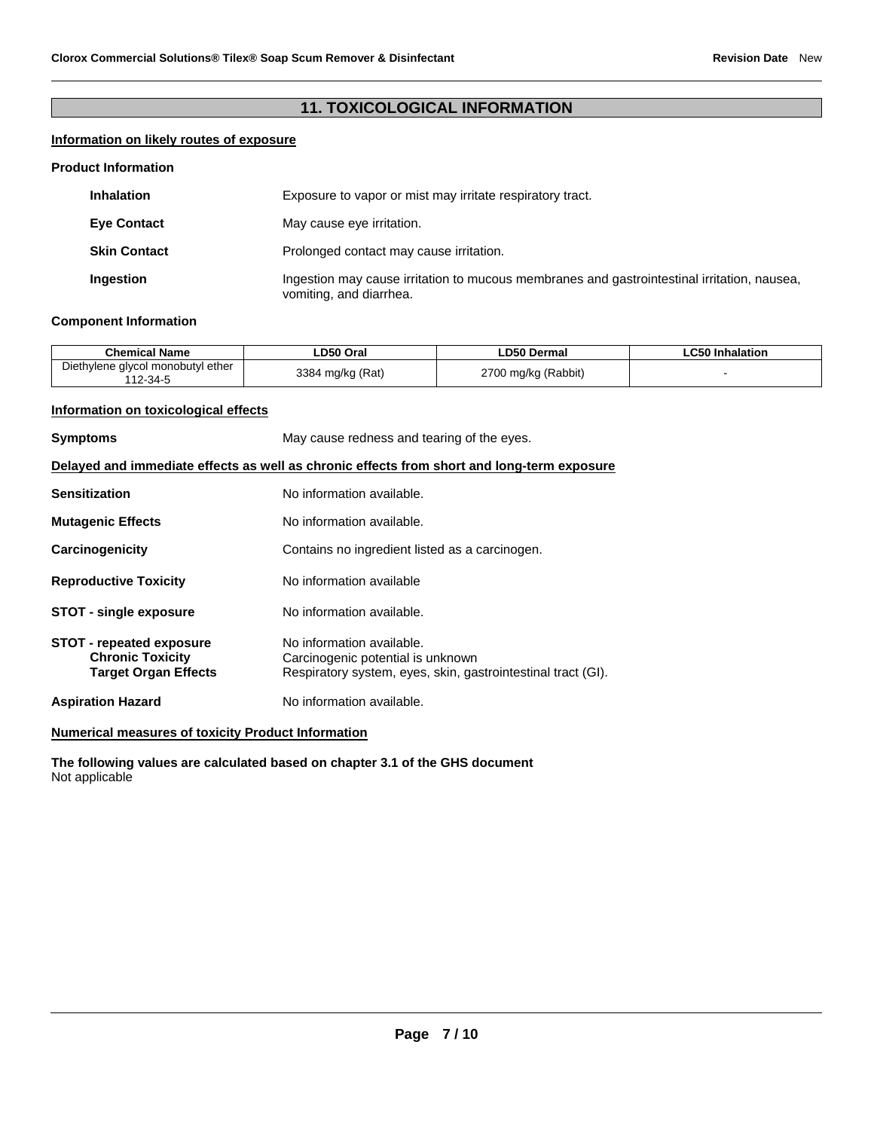# **11. TOXICOLOGICAL INFORMATION**

# **Information on likely routes of exposure**

#### **Product Information**

| <b>Inhalation</b>   | Exposure to vapor or mist may irritate respiratory tract.                                                              |
|---------------------|------------------------------------------------------------------------------------------------------------------------|
| <b>Eye Contact</b>  | May cause eye irritation.                                                                                              |
| <b>Skin Contact</b> | Prolonged contact may cause irritation.                                                                                |
| <b>Ingestion</b>    | Ingestion may cause irritation to mucous membranes and gastrointestinal irritation, nausea,<br>vomiting, and diarrhea. |

# **Component Information**

| <b>Chemical Name</b>                               | LD50 Oral             | <b>LD50 Dermal</b>  | ∟C50 Inhalation |
|----------------------------------------------------|-----------------------|---------------------|-----------------|
| Diethylene glycol monobutyl ether<br>$12 - 34 - 5$ | 1 mg/kg (Rat)<br>3384 | 2700 mg/kg (Rabbit) |                 |

## **Information on toxicological effects**

| <b>Symptoms</b>                                                                            | May cause redness and tearing of the eyes.                                                                                     |  |  |
|--------------------------------------------------------------------------------------------|--------------------------------------------------------------------------------------------------------------------------------|--|--|
| Delayed and immediate effects as well as chronic effects from short and long-term exposure |                                                                                                                                |  |  |
| <b>Sensitization</b>                                                                       | No information available.                                                                                                      |  |  |
| <b>Mutagenic Effects</b>                                                                   | No information available.                                                                                                      |  |  |
| Carcinogenicity                                                                            | Contains no ingredient listed as a carcinogen.                                                                                 |  |  |
| <b>Reproductive Toxicity</b>                                                               | No information available                                                                                                       |  |  |
| <b>STOT - single exposure</b>                                                              | No information available.                                                                                                      |  |  |
| <b>STOT - repeated exposure</b><br><b>Chronic Toxicity</b><br><b>Target Organ Effects</b>  | No information available.<br>Carcinogenic potential is unknown<br>Respiratory system, eyes, skin, gastrointestinal tract (GI). |  |  |
| <b>Aspiration Hazard</b>                                                                   | No information available.                                                                                                      |  |  |

**Numerical measures of toxicity Product Information**

**The following values are calculated based on chapter 3.1 of the GHS document** Not applicable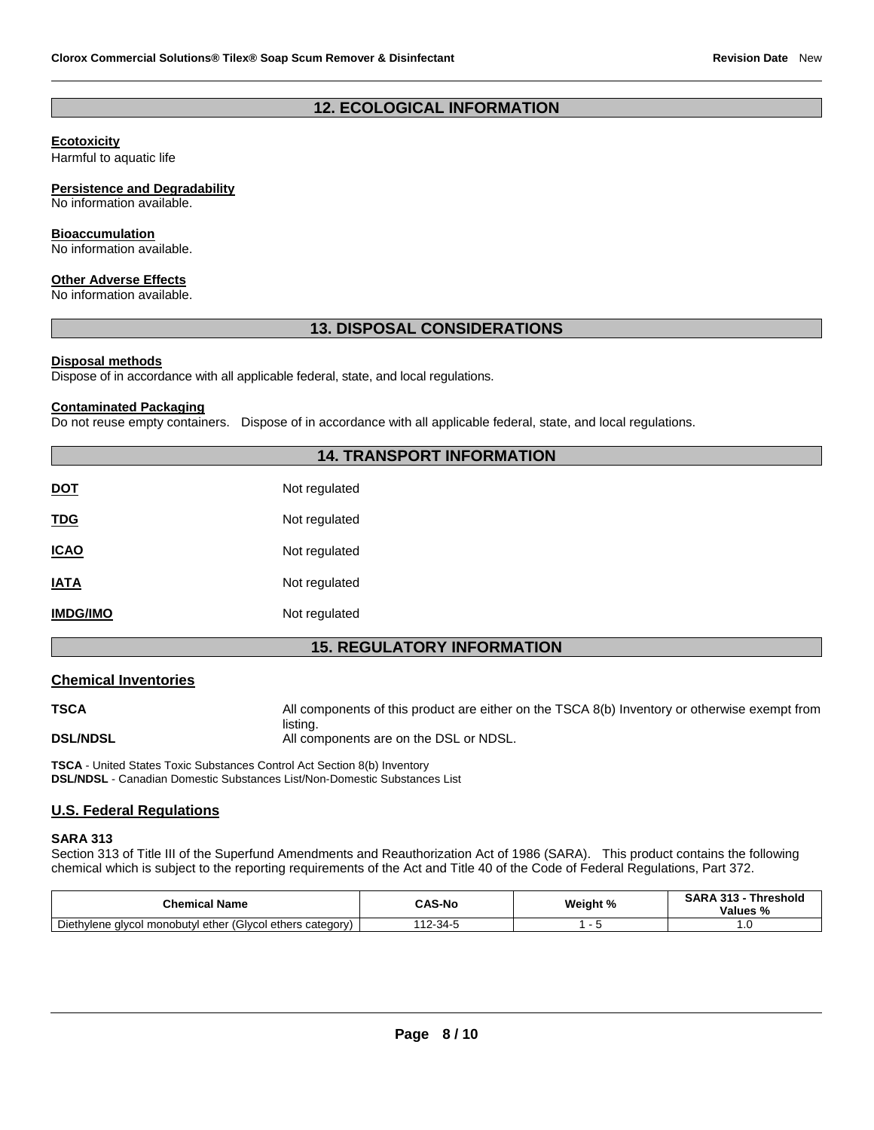# **12. ECOLOGICAL INFORMATION**

## **Ecotoxicity**

Harmful to aquatic life

## **Persistence and Degradability**

No information available.

#### **Bioaccumulation**

No information available.

## **Other Adverse Effects**

No information available.

# **13. DISPOSAL CONSIDERATIONS**

#### **Disposal methods**

Dispose of in accordance with all applicable federal, state, and local regulations.

#### **Contaminated Packaging**

Do not reuse empty containers. Dispose of in accordance with all applicable federal, state, and local regulations.

# **14. TRANSPORT INFORMATION**

| DOT             | Not regulated |
|-----------------|---------------|
| <u>TDG</u>      | Not regulated |
| <b>ICAO</b>     | Not regulated |
| <b>IATA</b>     | Not regulated |
| <b>IMDG/IMO</b> | Not regulated |
|                 |               |

# **15. REGULATORY INFORMATION**

#### **Chemical Inventories**

**TSCA All components of this product are either on the TSCA 8(b) Inventory or otherwise exempt from** listing.

**DSL/NDSL DSL/NDSL All components are on the DSL or NDSL.** 

**TSCA** - United States Toxic Substances Control Act Section 8(b) Inventory **DSL/NDSL** - Canadian Domestic Substances List/Non-Domestic Substances List

# **U.S. Federal Regulations**

#### **SARA 313**

Section 313 of Title III of the Superfund Amendments and Reauthorization Act of 1986 (SARA). This product contains the following chemical which is subject to the reporting requirements of the Act and Title 40 of the Code of Federal Regulations, Part 372.

| <b>Chemical Name</b>                                               | <b>CAS-No</b> | Weight % | SARA 313<br>242<br>Threshold<br>Values % |
|--------------------------------------------------------------------|---------------|----------|------------------------------------------|
| I monobutyl ether (Glycol ethers category)<br>Diethylene<br>alvcol | 112-34-5      |          | .v                                       |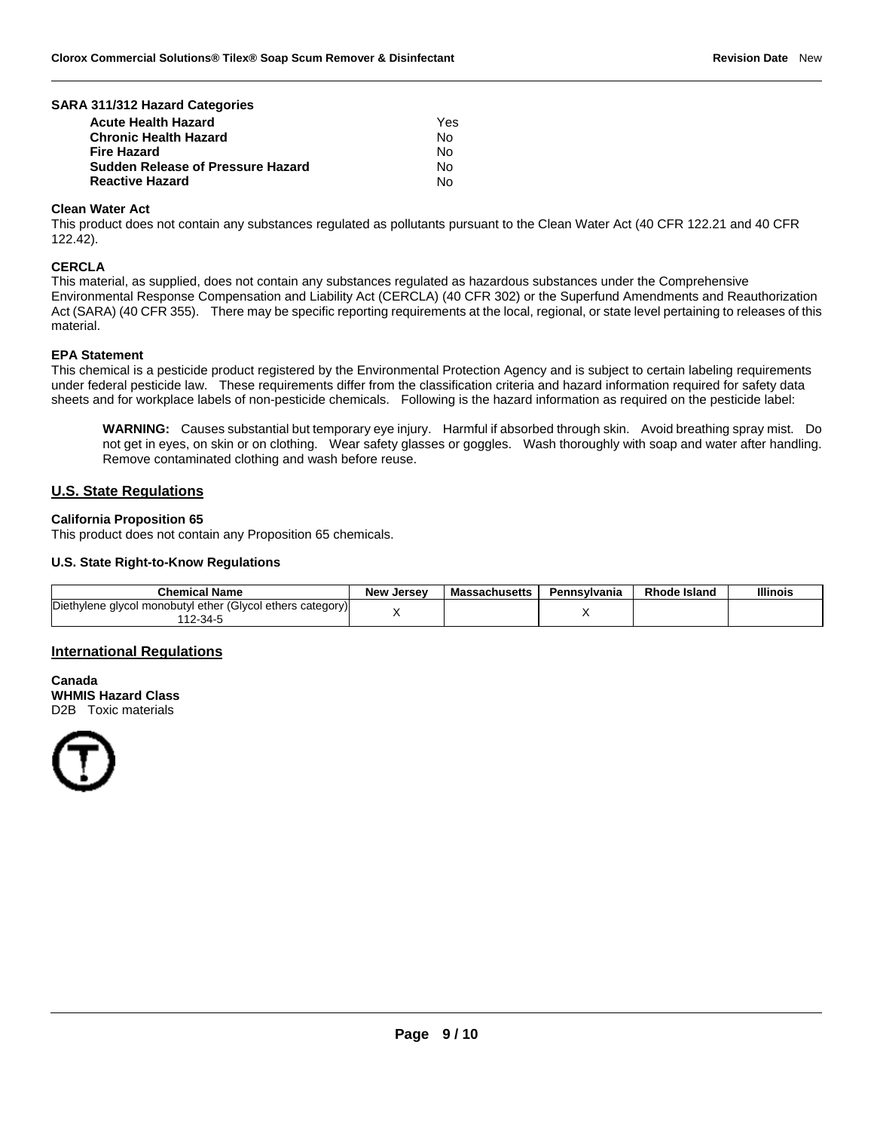#### **SARA 311/312 Hazard Categories**

| <b>Acute Health Hazard</b>        | Yes |
|-----------------------------------|-----|
| <b>Chronic Health Hazard</b>      | No. |
| <b>Fire Hazard</b>                | No  |
| Sudden Release of Pressure Hazard | No. |
| <b>Reactive Hazard</b>            | Nο  |

#### **Clean Water Act**

This product does not contain any substances regulated as pollutants pursuant to the Clean Water Act (40 CFR 122.21 and 40 CFR 122.42).

#### **CERCLA**

This material, as supplied, does not contain any substances regulated as hazardous substances under the Comprehensive Environmental Response Compensation and Liability Act (CERCLA) (40 CFR 302) or the Superfund Amendments and Reauthorization Act (SARA) (40 CFR 355). There may be specific reporting requirements at the local, regional, or state level pertaining to releases of this material.

#### **EPA Statement**

This chemical is a pesticide product registered by the Environmental Protection Agency and is subject to certain labeling requirements under federal pesticide law. These requirements differ from the classification criteria and hazard information required for safety data sheets and for workplace labels of non-pesticide chemicals. Following is the hazard information as required on the pesticide label:

**WARNING:** Causes substantial but temporary eye injury. Harmful if absorbed through skin. Avoid breathing spray mist. Do not get in eyes, on skin or on clothing. Wear safety glasses or goggles. Wash thoroughly with soap and water after handling. Remove contaminated clothing and wash before reuse.

## **U.S. State Regulations**

#### **California Proposition 65**

This product does not contain any Proposition 65 chemicals.

#### **U.S. State Right-to-Know Regulations**

| <b>Chemical Name</b>                                                  | <b>New Jersey</b> | <b>Massachusetts</b> | Pennsylvania | <b>Rhode Island</b> | <b>Illinois</b> |
|-----------------------------------------------------------------------|-------------------|----------------------|--------------|---------------------|-----------------|
| Diethylene glycol monobutyl ether (Glycol ethers category)<br>12-34-5 |                   |                      |              |                     |                 |

#### **International Regulations**

**Canada WHMIS Hazard Class** D2B Toxic materials